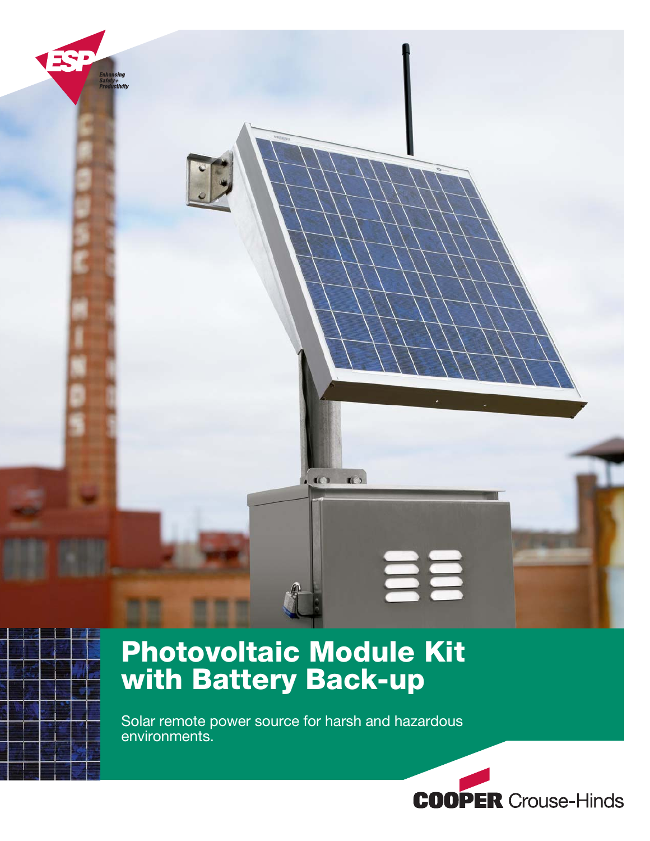

# **Photovoltaic Module Kit with Battery Back-up**

Solar remote power source for harsh and hazardous environments.

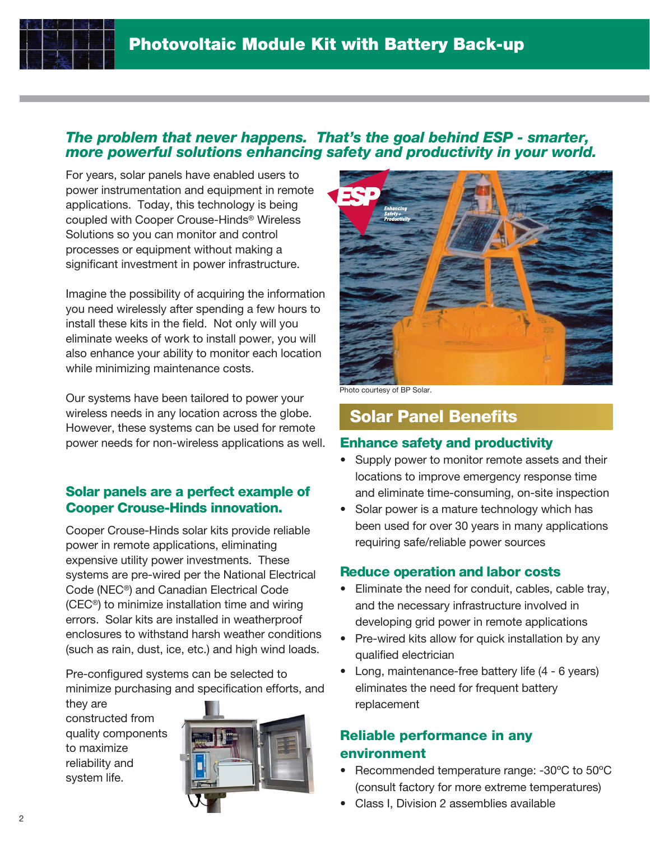### **The problem that never happens. That's the goal behind ESP - smarter, more powerful solutions enhancing safety and productivity in your world.**

For years, solar panels have enabled users to power instrumentation and equipment in remote applications. Today, this technology is being coupled with Cooper Crouse-Hinds® Wireless Solutions so you can monitor and control processes or equipment without making a significant investment in power infrastructure.

Imagine the possibility of acquiring the information you need wirelessly after spending a few hours to install these kits in the field. Not only will you eliminate weeks of work to install power, you will also enhance your ability to monitor each location while minimizing maintenance costs.

Our systems have been tailored to power your wireless needs in any location across the globe. However, these systems can be used for remote power needs for non-wireless applications as well.

### **Solar panels are a perfect example of Cooper Crouse-Hinds innovation.**

Cooper Crouse-Hinds solar kits provide reliable power in remote applications, eliminating expensive utility power investments. These systems are pre-wired per the National Electrical Code (NEC®) and Canadian Electrical Code (CEC®) to minimize installation time and wiring errors. Solar kits are installed in weatherproof enclosures to withstand harsh weather conditions (such as rain, dust, ice, etc.) and high wind loads.

Pre-configured systems can be selected to minimize purchasing and specification efforts, and

they are constructed from quality components to maximize reliability and system life.





Photo courtesy of BP Solar.

## **Solar Panel Benefits**

### **Enhance safety and productivity**

- Supply power to monitor remote assets and their locations to improve emergency response time and eliminate time-consuming, on-site inspection
- Solar power is a mature technology which has been used for over 30 years in many applications requiring safe/reliable power sources

### **Reduce operation and labor costs**

- Eliminate the need for conduit, cables, cable tray, and the necessary infrastructure involved in developing grid power in remote applications
- Pre-wired kits allow for quick installation by any qualified electrician
- Long, maintenance-free battery life (4 6 years) eliminates the need for frequent battery replacement

### **Reliable performance in any environment**

- Recommended temperature range: -30ºC to 50ºC (consult factory for more extreme temperatures)
- Class I, Division 2 assemblies available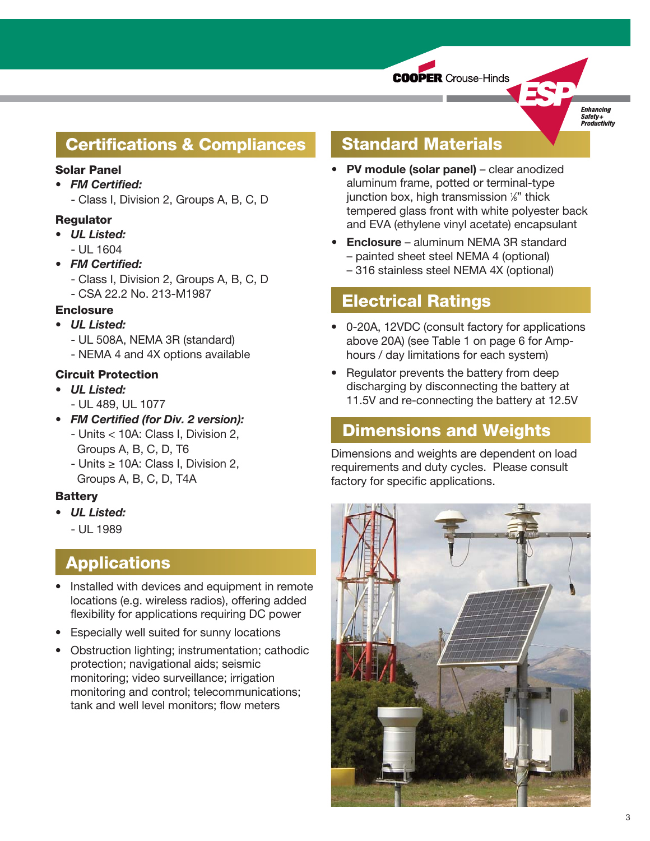

**Enhancing** Safety+<br>Productivity

## **Certifications & Compliances**

### **Solar Panel**

• FM Certified:

- Class I, Division 2, Groups A, B, C, D

### **Regulator**

- UL Listed:  $- 111 1604$
- FM Certified:
	- Class I, Division 2, Groups A, B, C, D
	- CSA 22.2 No. 213-M1987

### **Enclosure**

- UL Listed:
	- UL 508A, NEMA 3R (standard)
	- NEMA 4 and 4X options available

### **Circuit Protection**

- UL Listed:
	- UL 489, UL 1077
- FM Certified (for Div. 2 version): - Units < 10A: Class I, Division 2, Groups A, B, C, D, T6
	- Units ≥ 10A: Class I, Division 2, Groups A, B, C, D, T4A

### **Battery**

- UL Listed:
	- UL 1989

## **Applications**

- Installed with devices and equipment in remote locations (e.g. wireless radios), offering added flexibility for applications requiring DC power
- Especially well suited for sunny locations
- Obstruction lighting; instrumentation; cathodic protection; navigational aids; seismic monitoring; video surveillance; irrigation monitoring and control; telecommunications; tank and well level monitors; flow meters

## **Standard Materials**

- PV module (solar panel) clear anodized aluminum frame, potted or terminal-type junction box, high transmission 1 ⁄8" thick tempered glass front with white polyester back and EVA (ethylene vinyl acetate) encapsulant
- Enclosure aluminum NEMA 3R standard – painted sheet steel NEMA 4 (optional) – 316 stainless steel NEMA 4X (optional)

### **Electrical Ratings**

- 0-20A, 12VDC (consult factory for applications above 20A) (see Table 1 on page 6 for Amphours / day limitations for each system)
- Regulator prevents the battery from deep discharging by disconnecting the battery at 11.5V and re-connecting the battery at 12.5V

### **Dimensions and Weights**

Dimensions and weights are dependent on load requirements and duty cycles. Please consult factory for specific applications.

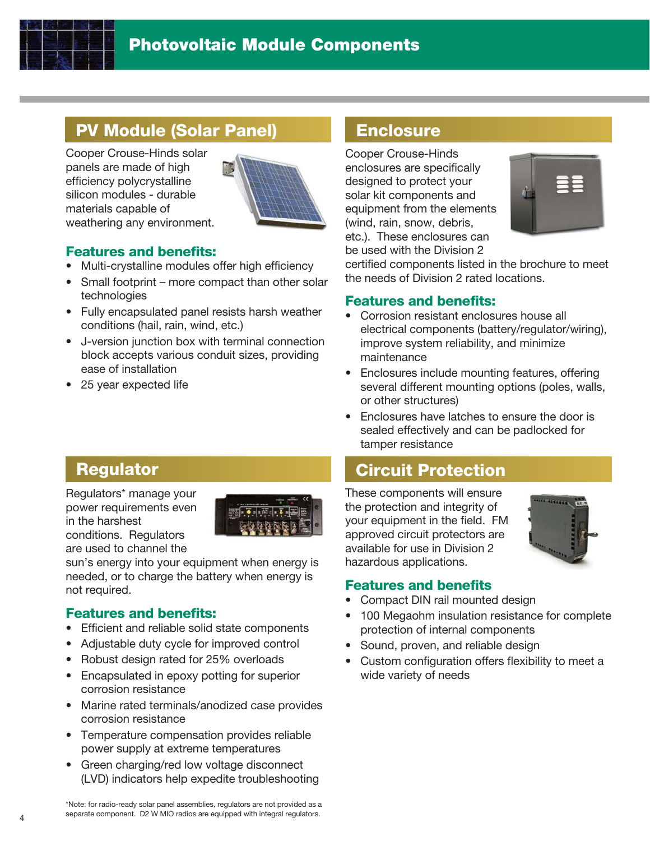

## **PV Module (Solar Panel)**

Cooper Crouse-Hinds solar panels are made of high efficiency polycrystalline silicon modules - durable materials capable of weathering any environment.



### **Features and benefits:**

- Multi-crystalline modules offer high efficiency
- Small footprint more compact than other solar technologies
- Fully encapsulated panel resists harsh weather conditions (hail, rain, wind, etc.)
- J-version junction box with terminal connection block accepts various conduit sizes, providing ease of installation
- 25 year expected life

## **Enclosure**

Cooper Crouse-Hinds enclosures are specifically designed to protect your solar kit components and equipment from the elements (wind, rain, snow, debris, etc.). These enclosures can be used with the Division 2



certified components listed in the brochure to meet the needs of Division 2 rated locations.

### **Features and benefits:**

- Corrosion resistant enclosures house all electrical components (battery/regulator/wiring), improve system reliability, and minimize maintenance
- Enclosures include mounting features, offering several different mounting options (poles, walls, or other structures)
- Enclosures have latches to ensure the door is sealed effectively and can be padlocked for tamper resistance

## **Circuit Protection**

These components will ensure the protection and integrity of your equipment in the field. FM approved circuit protectors are available for use in Division 2 hazardous applications.



### **Features and benefits**

- Compact DIN rail mounted design
- 100 Megaohm insulation resistance for complete protection of internal components
- Sound, proven, and reliable design
- Custom configuration offers flexibility to meet a wide variety of needs

## **Regulator**

Regulators\* manage your power requirements even in the harshest conditions. Regulators are used to channel the



sun's energy into your equipment when energy is needed, or to charge the battery when energy is not required.

### **Features and benefits:**

- Efficient and reliable solid state components
- Adjustable duty cycle for improved control
- Robust design rated for 25% overloads
- Encapsulated in epoxy potting for superior corrosion resistance
- Marine rated terminals/anodized case provides corrosion resistance
- Temperature compensation provides reliable power supply at extreme temperatures
- Green charging/red low voltage disconnect (LVD) indicators help expedite troubleshooting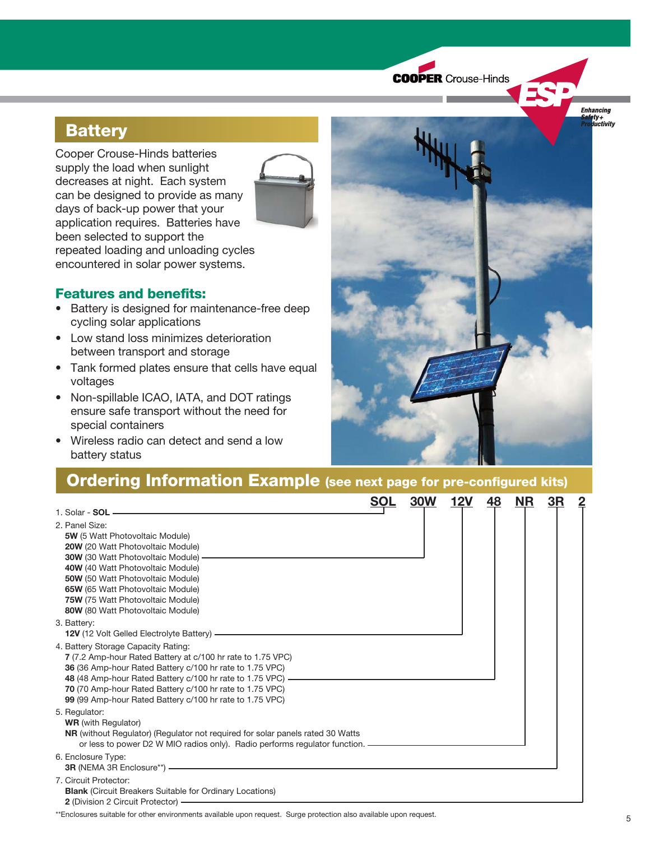**COOPER** Crouse-Hinds

**Enhancing** 'ety +<br>|<mark>ductivity</mark>

## **Battery**

Cooper Crouse-Hinds batteries supply the load when sunlight decreases at night. Each system can be designed to provide as many days of back-up power that your application requires. Batteries have been selected to support the repeated loading and unloading cycles encountered in solar power systems.



### **Features and benefits:**

- Battery is designed for maintenance-free deep cycling solar applications
- Low stand loss minimizes deterioration between transport and storage
- Tank formed plates ensure that cells have equal voltages
- Non-spillable ICAO, IATA, and DOT ratings ensure safe transport without the need for special containers
- Wireless radio can detect and send a low battery status



## **Ordering Information Example (see next page for pre-configured kits)**

|                                                                                                                                                                                                                                                                                                                                                          | <b>SOL</b> | <b>30W</b> | 12V | 48 | <b>NR</b> | 3R |  |
|----------------------------------------------------------------------------------------------------------------------------------------------------------------------------------------------------------------------------------------------------------------------------------------------------------------------------------------------------------|------------|------------|-----|----|-----------|----|--|
| 1. Solar - $SOL$ -                                                                                                                                                                                                                                                                                                                                       |            |            |     |    |           |    |  |
| 2. Panel Size:<br><b>5W</b> (5 Watt Photovoltaic Module)<br>20W (20 Watt Photovoltaic Module)<br>30W (30 Watt Photovoltaic Module) -<br>40W (40 Watt Photovoltaic Module)<br>50W (50 Watt Photovoltaic Module)<br>65W (65 Watt Photovoltaic Module)<br>75W (75 Watt Photovoltaic Module)<br>80W (80 Watt Photovoltaic Module)                            |            |            |     |    |           |    |  |
| 3. Battery:<br>12V (12 Volt Gelled Electrolyte Battery) ——————                                                                                                                                                                                                                                                                                           |            |            |     |    |           |    |  |
| 4. Battery Storage Capacity Rating:<br>7 (7.2 Amp-hour Rated Battery at c/100 hr rate to 1.75 VPC)<br>36 (36 Amp-hour Rated Battery c/100 hr rate to 1.75 VPC)<br>48 (48 Amp-hour Rated Battery c/100 hr rate to 1.75 VPC) —————<br>70 (70 Amp-hour Rated Battery c/100 hr rate to 1.75 VPC)<br>99 (99 Amp-hour Rated Battery c/100 hr rate to 1.75 VPC) |            |            |     |    |           |    |  |
| 5. Regulator:<br><b>WR</b> (with Regulator)<br><b>NR</b> (without Regulator) (Regulator not reguired for solar panels rated 30 Watts<br>or less to power D2 W MIO radios only). Radio performs requiator function. ——————                                                                                                                                |            |            |     |    |           |    |  |
| 6. Enclosure Type:<br>3R (NEMA 3R Enclosure**) -                                                                                                                                                                                                                                                                                                         |            |            |     |    |           |    |  |
| 7. Circuit Protector:<br><b>Blank</b> (Circuit Breakers Suitable for Ordinary Locations)<br>2 (Division 2 Circuit Protector) -                                                                                                                                                                                                                           |            |            |     |    |           |    |  |

\*\*Enclosures suitable for other environments available upon request. Surge protection also available upon request.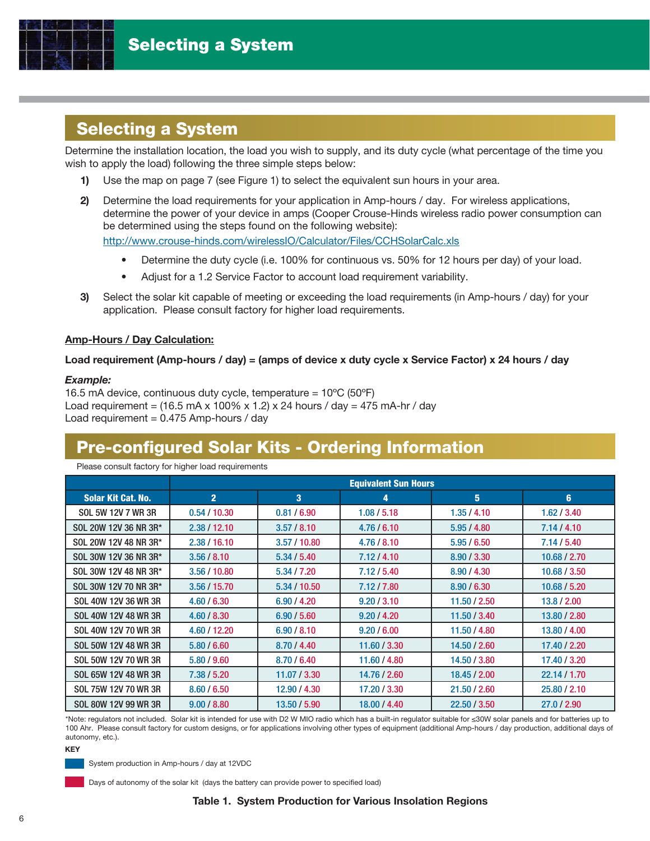

## **Selecting a System**

Determine the installation location, the load you wish to supply, and its duty cycle (what percentage of the time you wish to apply the load) following the three simple steps below:

- 1) Use the map on page 7 (see Figure 1) to select the equivalent sun hours in your area.
- 2) Determine the load requirements for your application in Amp-hours / day. For wireless applications, determine the power of your device in amps (Cooper Crouse-Hinds wireless radio power consumption can be determined using the steps found on the following website): http://www.crouse-hinds.com/wirelessIO/Calculator/Files/CCHSolarCalc.xls
	- Determine the duty cycle (i.e. 100% for continuous vs. 50% for 12 hours per day) of your load.
	- Adjust for a 1.2 Service Factor to account load requirement variability.
- 3) Select the solar kit capable of meeting or exceeding the load requirements (in Amp-hours / day) for your application. Please consult factory for higher load requirements.

### Amp-Hours / Day Calculation:

### Load requirement (Amp-hours / day) = (amps of device x duty cycle x Service Factor) x 24 hours / day

#### Example:

16.5 mA device, continuous duty cycle, temperature =  $10^{\circ}C$  (50 $^{\circ}F$ ) Load requirement =  $(16.5 \text{ mA} \times 100\% \times 1.2) \times 24$  hours / day = 475 mA-hr / day Load requirement =  $0.475$  Amp-hours / day

## **Pre-configured Solar Kits - Ordering Information**

Please consult factory for higher load requirements

|                           | <b>Equivalent Sun Hours</b> |                         |              |              |              |  |  |  |  |
|---------------------------|-----------------------------|-------------------------|--------------|--------------|--------------|--|--|--|--|
| <b>Solar Kit Cat. No.</b> | $\overline{2}$              | $\overline{\mathbf{3}}$ | 4            | 5            | 6            |  |  |  |  |
| SOL 5W 12V 7 WR 3R        | 0.54/10.30                  | 0.81 / 6.90             | 1.08 / 5.18  | 1.35/4.10    | 1.62 / 3.40  |  |  |  |  |
| SOL 20W 12V 36 NR 3R*     | 2.38 / 12.10                | 3.57 / 8.10             | 4.76/6.10    | 5.95/4.80    | 7.14/4.10    |  |  |  |  |
| SOL 20W 12V 48 NR 3R*     | 2.38 / 16.10                | 3.57/10.80              | 4.76/8.10    | 5.95/6.50    | 7.14/5.40    |  |  |  |  |
| SOL 30W 12V 36 NR 3R*     | 3.56 / 8.10                 | 5.34 / 5.40             | 7.12/4.10    | 8.90 / 3.30  | 10.68 / 2.70 |  |  |  |  |
| SOL 30W 12V 48 NR 3R*     | 3.56/10.80                  | 5.34 / 7.20             | 7.12/5.40    | 8.90 / 4.30  | 10.68 / 3.50 |  |  |  |  |
| SOL 30W 12V 70 NR 3R*     | 3.56/15.70                  | 5.34 / 10.50            | 7.12 / 7.80  | 8.90 / 6.30  | 10.68 / 5.20 |  |  |  |  |
| SOL 40W 12V 36 WR 3R      | 4.60 / 6.30                 | 6.90 / 4.20             | 9.20 / 3.10  | 11.50 / 2.50 | 13.8 / 2.00  |  |  |  |  |
| SOL 40W 12V 48 WR 3R      | 4.60 / 8.30                 | 6.90 / 5.60             | 9.20 / 4.20  | 11.50 / 3.40 | 13.80 / 2.80 |  |  |  |  |
| SOL 40W 12V 70 WR 3R      | 4.60 / 12.20                | 6.90 / 8.10             | 9.20 / 6.00  | 11.50 / 4.80 | 13.80 / 4.00 |  |  |  |  |
| SOL 50W 12V 48 WR 3R      | 5.80 / 6.60                 | 8.70 / 4.40             | 11.60 / 3.30 | 14.50 / 2.60 | 17.40 / 2.20 |  |  |  |  |
| SOL 50W 12V 70 WR 3R      | 5.80 / 9.60                 | 8.70 / 6.40             | 11.60 / 4.80 | 14.50 / 3.80 | 17.40 / 3.20 |  |  |  |  |
| SOL 65W 12V 48 WR 3R      | 7.38 / 5.20                 | 11.07 / 3.30            | 14.76 / 2.60 | 18.45 / 2.00 | 22.14/1.70   |  |  |  |  |
| SOL 75W 12V 70 WR 3R      | 8.60 / 6.50                 | 12.90 / 4.30            | 17.20 / 3.30 | 21.50 / 2.60 | 25.80 / 2.10 |  |  |  |  |
| SOL 80W 12V 99 WR 3R      | 9.00 / 8.80                 | 13.50 / 5.90            | 18.00 / 4.40 | 22.50 / 3.50 | 27.0 / 2.90  |  |  |  |  |

\*Note: regulators not included. Solar kit is intended for use with D2 W MIO radio which has a built-in regulator suitable for ≤30W solar panels and for batteries up to 100 Ahr. Please consult factory for custom designs, or for applications involving other types of equipment (additional Amp-hours / day production, additional days of autonomy, etc.).

KEY



Days of autonomy of the solar kit (days the battery can provide power to specified load)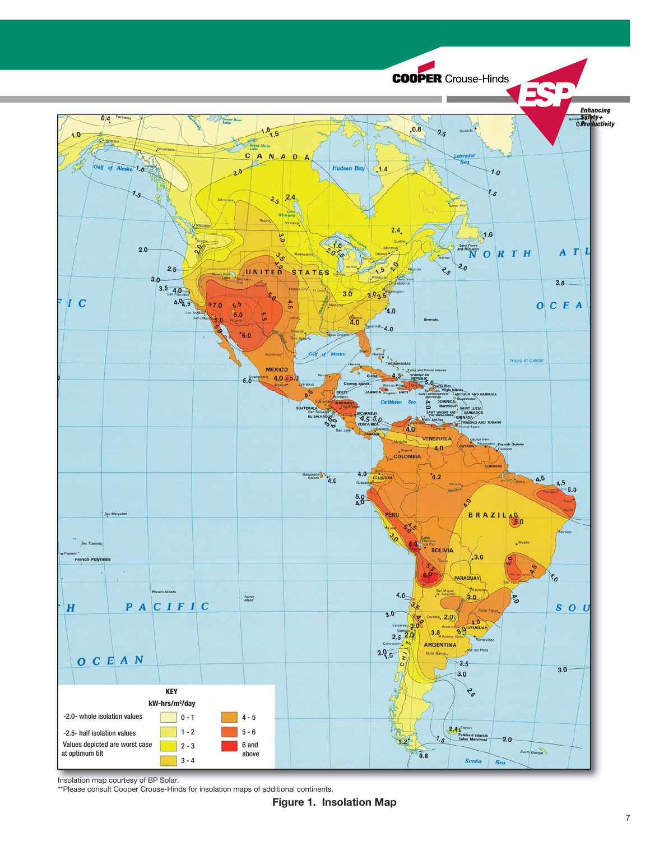

Insolation map courtesy of BP Solar.

\*\*Please consult Cooper Crouse-Hinds for insolation maps of additional continents.